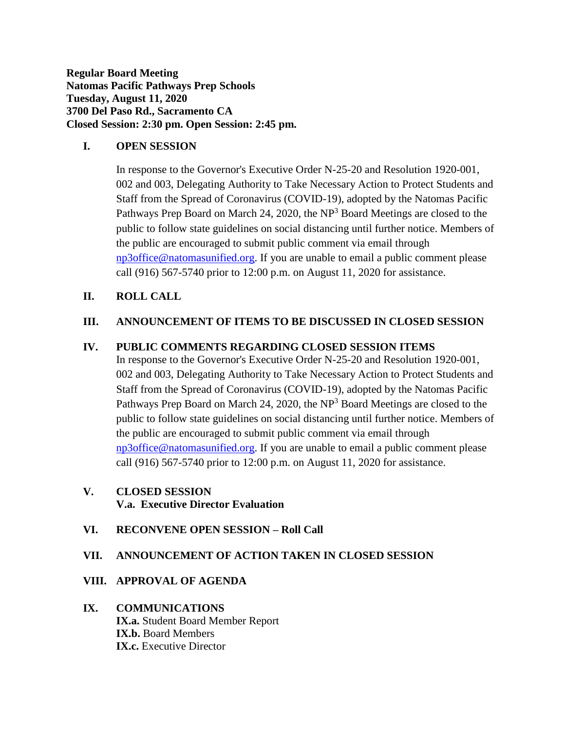**Regular Board Meeting Natomas Pacific Pathways Prep Schools Tuesday, August 11, 2020 3700 Del Paso Rd., Sacramento CA Closed Session: 2:30 pm. Open Session: 2:45 pm.**

### **I. OPEN SESSION**

In response to the Governor's Executive Order N-25-20 and Resolution 1920-001, 002 and 003, Delegating Authority to Take Necessary Action to Protect Students and Staff from the Spread of Coronavirus (COVID-19), adopted by the Natomas Pacific Pathways Prep Board on March 24, 2020, the  $NP<sup>3</sup>$  Board Meetings are closed to the public to follow state guidelines on social distancing until further notice. Members of the public are encouraged to submit public comment via email through [np3office@natomasunified.org.](mailto:np3office@natomasunified.org) If you are unable to email a public comment please call (916) 567-5740 prior to 12:00 p.m. on August 11, 2020 for assistance.

## **II. ROLL CALL**

## **III. ANNOUNCEMENT OF ITEMS TO BE DISCUSSED IN CLOSED SESSION**

## **IV. PUBLIC COMMENTS REGARDING CLOSED SESSION ITEMS**

In response to the Governor's Executive Order N-25-20 and Resolution 1920-001, 002 and 003, Delegating Authority to Take Necessary Action to Protect Students and Staff from the Spread of Coronavirus (COVID-19), adopted by the Natomas Pacific Pathways Prep Board on March 24, 2020, the  $NP<sup>3</sup>$  Board Meetings are closed to the public to follow state guidelines on social distancing until further notice. Members of the public are encouraged to submit public comment via email through [np3office@natomasunified.org.](mailto:np3office@natomasunified.org) If you are unable to email a public comment please call (916) 567-5740 prior to 12:00 p.m. on August 11, 2020 for assistance.

# **V. CLOSED SESSION V.a. Executive Director Evaluation**

## **VI. RECONVENE OPEN SESSION – Roll Call**

## **VII. ANNOUNCEMENT OF ACTION TAKEN IN CLOSED SESSION**

#### **VIII. APPROVAL OF AGENDA**

### **IX. COMMUNICATIONS IX.a.** Student Board Member Report **IX.b.** Board Members **IX.c.** Executive Director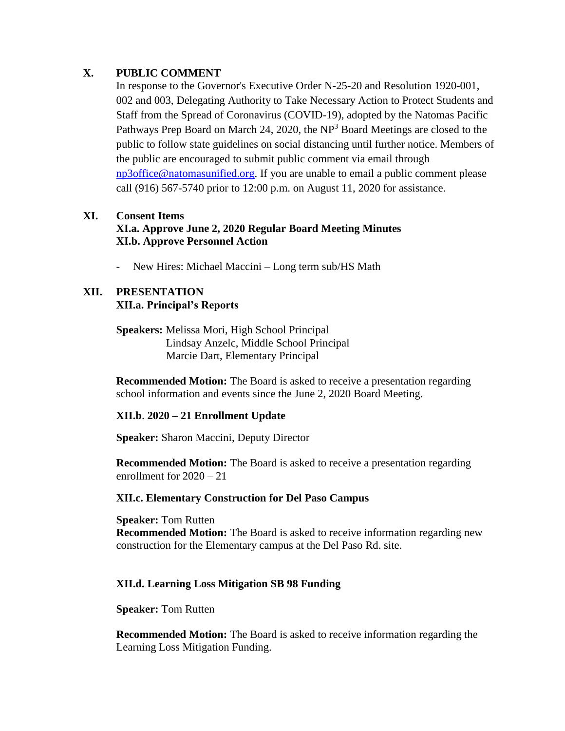### **X. PUBLIC COMMENT**

In response to the Governor's Executive Order N-25-20 and Resolution 1920-001, 002 and 003, Delegating Authority to Take Necessary Action to Protect Students and Staff from the Spread of Coronavirus (COVID-19), adopted by the Natomas Pacific Pathways Prep Board on March 24, 2020, the  $NP<sup>3</sup>$  Board Meetings are closed to the public to follow state guidelines on social distancing until further notice. Members of the public are encouraged to submit public comment via email through [np3office@natomasunified.org.](mailto:np3office@natomasunified.org) If you are unable to email a public comment please call (916) 567-5740 prior to 12:00 p.m. on August 11, 2020 for assistance.

## **XI. Consent Items XI.a. Approve June 2, 2020 Regular Board Meeting Minutes XI.b. Approve Personnel Action**

- New Hires: Michael Maccini – Long term sub/HS Math

#### **XII. PRESENTATION XII.a. Principal's Reports**

#### **Speakers:** Melissa Mori, High School Principal Lindsay Anzelc, Middle School Principal Marcie Dart, Elementary Principal

**Recommended Motion:** The Board is asked to receive a presentation regarding school information and events since the June 2, 2020 Board Meeting.

## **XII.b**. **2020 – 21 Enrollment Update**

**Speaker:** Sharon Maccini, Deputy Director

**Recommended Motion:** The Board is asked to receive a presentation regarding enrollment for 2020 – 21

#### **XII.c. Elementary Construction for Del Paso Campus**

**Speaker:** Tom Rutten **Recommended Motion:** The Board is asked to receive information regarding new construction for the Elementary campus at the Del Paso Rd. site.

#### **XII.d. Learning Loss Mitigation SB 98 Funding**

**Speaker:** Tom Rutten

**Recommended Motion:** The Board is asked to receive information regarding the Learning Loss Mitigation Funding.